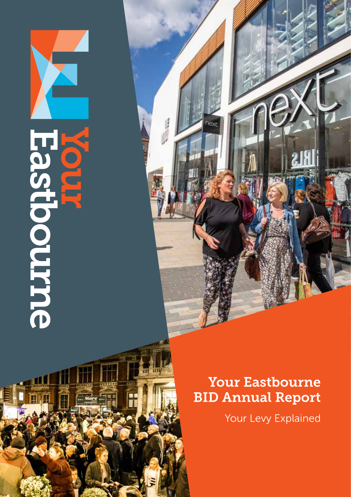## **Escipcourne**

面顶耳

## Your Eastbourne BID Annual Report

**Text** 

m my

Your Levy Explained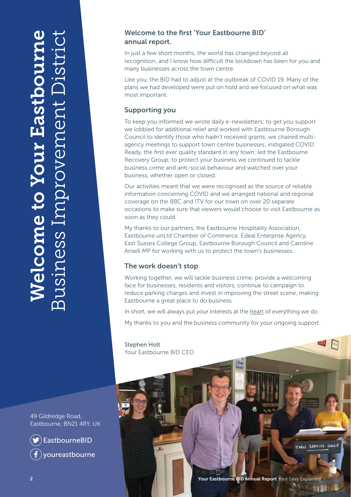## Welcome to Your Eastbourne Business Improvement District *Nelcome to Your Eastbour* Improvement JS1Ness

## Welcome to the first 'Your Eastbourne BID' annual report.

In just a few short months, the world has changed beyond all recognition, and I know how difficult the lockdown has been for you and many businesses across the town centre.

Like you, the BID had to adjust at the outbreak of COVID 19. Many of the plans we had developed were put on hold and we focused on what was most important.

## Supporting you

To keep you informed we wrote daily e-newsletters; to get you support we lobbied for additional relief and worked with Eastbourne Borough Council to identify those who hadn't received grants; we chaired multiagency meetings to support town centre businesses; instigated COVID Ready, the first ever quality standard in any town; led the Eastbourne Recovery Group; to protect your business we continued to tackle business crime and anti-social behaviour and watched over your business, whether open or closed.

Our activities meant that we were recognised as the source of reliable information concerning COVID and we arranged national and regional coverage on the BBC and ITV for our town on over 20 separate occasions to make sure that viewers would choose to visit Eastbourne as soon as they could.

My thanks to our partners, the Eastbourne Hospitality Association, Eastbourne *unLtd* Chamber of Commerce, Edeal Enterprise Agency, East Sussex College Group, Eastbourne Borough Council and Caroline Ansell MP for working with us to protect the town's businesses.

## The work doesn't stop

Working together, we will tackle business crime, provide a welcoming face for businesses, residents and visitors, continue to campaign to reduce parking charges and invest in improving the street scene, making Eastbourne a great place to do business.

In short, we will always put your interests at the heart of everything we do.

My thanks to you and the business community for your ongoing support.

Stephen Holt Your Eastbourne BID CEO



2 Your Eastbourne BID Annual Report Your Levy Explained

 $\Box$ 

TABLE SERVICE ONLY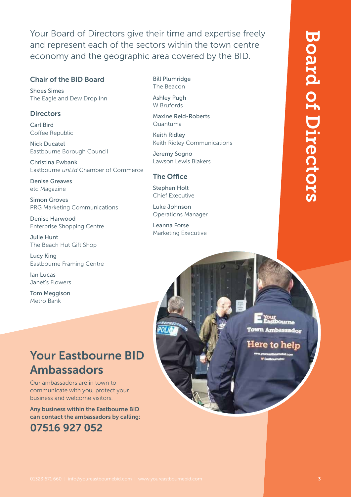Your Board of Directors give their time and expertise freely and represent each of the sectors within the town centre economy and the geographic area covered by the BID.

## Chair of the BID Board

Shoes Simes The Eagle and Dew Drop Inn

## **Directors**

Carl Bird Coffee Republic

Nick Ducatel Eastbourne Borough Council

Christina Ewbank Eastbourne *unLtd* Chamber of Commerce

Denise Greaves etc Magazine

Simon Groves PRG Marketing Communications

Denise Harwood Enterprise Shopping Centre

Julie Hunt The Beach Hut Gift Shop

Lucy King Eastbourne Framing Centre

Ian Lucas Janet's Flowers

Tom Meggison Metro Bank

## Bill Plumridge The Beacon

Ashley Pugh W Brufords

Maxine Reid-Roberts Quantuma

Keith Ridley Keith Ridley Communications

Jeremy Sogno Lawson Lewis Blakers

## The Office

Stephen Holt Chief Executive

Luke Johnson Operations Manager

Leanna Forse Marketing Executive

Town Ambassador

Here to help

## Your Eastbourne BID Ambassadors

Our ambassadors are in town to communicate with you, protect your business and welcome visitors.

Any business within the Eastbourne BID can contact the ambassadors by calling: 07516 927 052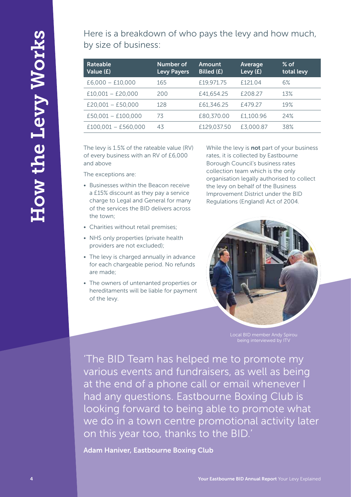Here is a breakdown of who pays the levy and how much, by size of business:

| Rateable<br>Value (£) | Number of<br><b>Levy Payers</b> | Amount<br>Billed (£) | Average<br>Levy (£) | $%$ of<br>total levy |
|-----------------------|---------------------------------|----------------------|---------------------|----------------------|
| $E6,000 - E10,000$    | 165                             | £19,971.75           | £121.04             | 6%                   |
| $£10,001 - £20,000$   | 200                             | £41,654.25           | £208.27             | 13%                  |
| $E20,001 - E50,000$   | 128                             | £61,346.25           | £479.27             | 19%                  |
| $£50,001 - £100,000$  | 73                              | £80,370.00           | £1,100.96           | 24%                  |
| $£100.001 - £560.000$ | 43                              | £129,037.50          | £3,000.87           | 38%                  |

The levy is 1.5% of the rateable value (RV) of every business with an RV of £6,000 and above

The exceptions are:

- Businesses within the Beacon receive a £15% discount as they pay a service charge to Legal and General for many of the services the BID delivers across the town;
- Charities without retail premises;
- NHS only properties (private health providers are not excluded);
- The levy is charged annually in advance for each chargeable period. No refunds are made;
- The owners of untenanted properties or hereditaments will be liable for payment of the levy.

While the levy is **not** part of your business rates, it is collected by Eastbourne Borough Council's business rates collection team which is the only organisation legally authorised to collect the levy on behalf of the Business Improvement District under the BID Regulations (England) Act of 2004.



being interviewed by ITV

Here is a treated own of who pays the levy and how much,<br>
vs. The Churchests:<br>
Manus Report Amount Control (1997) and the United States of the United States of the United States of the United States of the Levy Levy Levy L 'The BID Team has helped me to promote my various events and fundraisers, as well as being at the end of a phone call or email whenever I had any questions. Eastbourne Boxing Club is looking forward to being able to promote what we do in a town centre promotional activity later on this year too, thanks to the BID.'

Adam Haniver, Eastbourne Boxing Club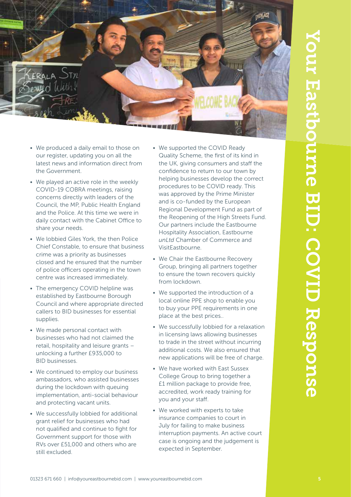

- We produced a daily email to those on our register, updating you on all the latest news and information direct from the Government.
- We played an active role in the weekly COVID-19 COBRA meetings, raising concerns directly with leaders of the Council, the MP, Public Health England and the Police. At this time we were in daily contact with the Cabinet Office to share your needs.
- We lobbied Giles York, the then Police Chief Constable, to ensure that business crime was a priority as businesses closed and he ensured that the number of police officers operating in the town centre was increased immediately.
- The emergency COVID helpline was established by Eastbourne Borough Council and where appropriate directed callers to BID businesses for essential supplies.
- We made personal contact with businesses who had not claimed the retail, hospitality and leisure grants – unlocking a further £935,000 to BID businesses.
- We continued to employ our business ambassadors, who assisted businesses during the lockdown with queuing implementation, anti-social behaviour and protecting vacant units.
- We successfully lobbied for additional grant relief for businesses who had not qualified and continue to fight for Government support for those with RVs over £51,000 and others who are still excluded.
- We supported the COVID Ready Quality Scheme, the first of its kind in the UK, giving consumers and staff the confidence to return to our town by helping businesses develop the correct procedures to be COVID ready. This was approved by the Prime Minister and is co-funded by the European Regional Development Fund as part of the Reopening of the High Streets Fund. Our partners include the Eastbourne Hospitality Association, Eastbourne *unLtd* Chamber of Commerce and VisitEastbourne.
- We Chair the Eastbourne Recovery Group, bringing all partners together to ensure the town recovers quickly from lockdown.
- We supported the introduction of a local online PPE shop to enable you to buy your PPE requirements in one place at the best prices..
- We successfully lobbied for a relaxation in licensing laws allowing businesses to trade in the street without incurring additional costs. We also ensured that new applications will be free of charge.
- We have worked with East Sussex College Group to bring together a £1 million package to provide free, accredited, work ready training for you and your staff.
- We worked with experts to take insurance companies to court in July for failing to make business interruption payments. An active court case is ongoing and the judgement is expected in September.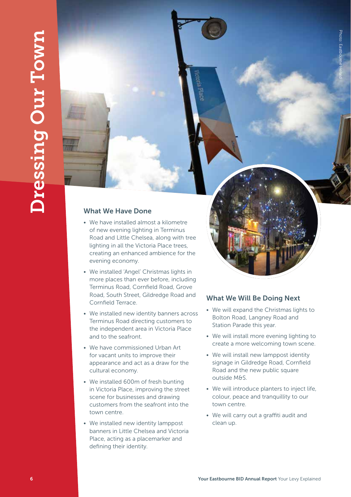## What We Have Done

- **Example 2** Your East of the United States and the United States and the United States and the United States and Voltage Control of the United States and Voltage Control of the United States and Voltage Control of the Uni • We have installed almost a kilometre of new evening lighting in Terminus Road and Little Chelsea, along with tree lighting in all the Victoria Place trees, creating an enhanced ambience for the evening economy.
	- We installed 'Angel' Christmas lights in more places than ever before, including Terminus Road, Cornfield Road, Grove Road, South Street, Gildredge Road and Cornfield Terrace.
	- We installed new identity banners across Terminus Road directing customers to the independent area in Victoria Place and to the seafront.
	- We have commissioned Urban Art for vacant units to improve their appearance and act as a draw for the cultural economy.
	- We installed 600m of fresh bunting in Victoria Place, improving the street scene for businesses and drawing customers from the seafront into the town centre.
	- We installed new identity lamppost banners in Little Chelsea and Victoria Place, acting as a placemarker and defining their identity.

## What We Will Be Doing Next

• We will expand the Christmas lights to Bolton Road, Langney Road and Station Parade this year.

Photo: Eastbour Photo: Eastbourne Herald

- We will install more evening lighting to create a more welcoming town scene.
- We will install new lamppost identity signage in Gildredge Road, Cornfield Road and the new public square outside M&S.
- We will introduce planters to inject life, colour, peace and tranquillity to our town centre.
- We will carry out a graffiti audit and clean up.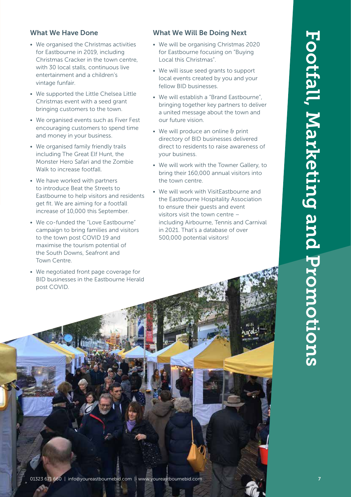# What we have a straight interest on the computer straight and the state interest on the computer straight and the computer straight and the computer straight and the computer straight and the computer straight and the com

## What We Have Done

- We organised the Christmas activities for Eastbourne in 2019, including Christmas Cracker in the town centre, with 30 local stalls, continuous live entertainment and a children's vintage funfair.
- We supported the Little Chelsea Little Christmas event with a seed grant bringing customers to the town.
- We organised events such as Fiver Fest encouraging customers to spend time and money in your business.
- We organised family friendly trails including The Great Elf Hunt, the Monster Hero Safari and the Zombie Walk to increase footfall.
- We have worked with partners to introduce Beat the Streets to Eastbourne to help visitors and residents get fit. We are aiming for a footfall increase of 10,000 this September.
- We co-funded the "Love Eastbourne" campaign to bring families and visitors to the town post COVID 19 and maximise the tourism potential of the South Downs, Seafront and Town Centre.
- We negotiated front page coverage for BID businesses in the Eastbourne Herald post COVID.

## What We Will Be Doing Next

- We will be organising Christmas 2020 for Eastbourne focusing on "Buying Local this Christmas".
- We will issue seed grants to support local events created by you and your fellow BID businesses.
- We will establish a "Brand Eastbourne", bringing together key partners to deliver a united message about the town and our future vision.
- We will produce an online & print directory of BID businesses delivered direct to residents to raise awareness of your business.
- We will work with the Towner Gallery, to bring their 160,000 annual visitors into the town centre.
- We will work with VisitEastbourne and the Eastbourne Hospitality Association to ensure their guests and event visitors visit the town centre – including Airbourne, Tennis and Carnival in 2021. That's a database of over 500,000 potential visitors!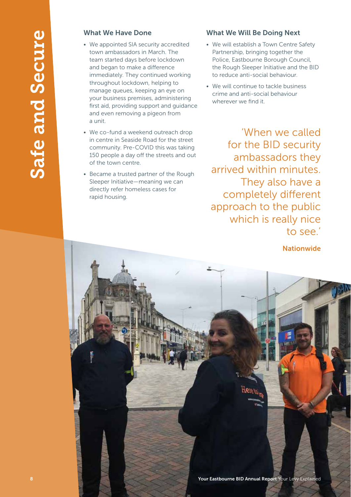## What We Have Done

- We appointed SIA security accredited town ambassadors in March. The team started days before lockdown and began to make a difference immediately. They continued working throughout lockdown, helping to manage queues, keeping an eye on your business premises, administering first aid, providing support and guidance and even removing a pigeon from a unit.
- We co-fund a weekend outreach drop in centre in Seaside Road for the street community. Pre-COVID this was taking 150 people a day off the streets and out of the town centre.
- Became a trusted partner of the Rough Sleeper Initiative—meaning we can directly refer homeless cases for rapid housing.

## What We Will Be Doing Next

- We will establish a Town Centre Safety Partnership, bringing together the Police, Eastbourne Borough Council, the Rough Sleeper Initiative and the BID to reduce anti-social behaviour.
- We will continue to tackle business crime and anti-social behaviour wherever we find it.

'When we called for the BID security ambassadors they arrived within minutes. They also have a completely different approach to the public which is really nice to see.'

**Nationwide** 

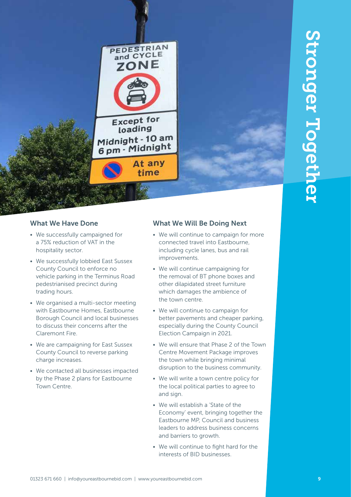## What We Have Done

- We successfully campaigned for a 75% reduction of VAT in the hospitality sector.
- We successfully lobbied East Sussex County Council to enforce no vehicle parking in the Terminus Road pedestrianised precinct during trading hours.
- **PEDESTRIAN<br>
22 ONE<br>
22 ONE<br>
22 ONE<br>
22 ONE<br>
22 ONE<br>
22 ONE<br>
22 ONE<br>
22 ONE<br>
22 ONE<br>
22 ONE<br>
22 ONE<br>
22 ONE<br>
22 ONE<br>
22 ONE<br>
23 FOR COM PARTIA THE VALUATION COM THE VALUATION COM TO COMPUTE THE VALUATION COMPUTER COMPUTER** • We organised a multi-sector meeting with Eastbourne Homes, Eastbourne Borough Council and local businesses to discuss their concerns after the Claremont Fire.
- We are campaigning for East Sussex County Council to reverse parking charge increases.
- We contacted all businesses impacted by the Phase 2 plans for Eastbourne Town Centre.

## What We Will Be Doing Next

- We will continue to campaign for more connected travel into Eastbourne, including cycle lanes, bus and rail improvements.
- We will continue campaigning for the removal of BT phone boxes and other dilapidated street furniture which damages the ambience of the town centre.
- We will continue to campaign for better pavements and cheaper parking, especially during the County Council Election Campaign in 2021.
- We will ensure that Phase 2 of the Town Centre Movement Package improves the town while bringing minimal disruption to the business community.
- We will write a town centre policy for the local political parties to agree to and sign.
- We will establish a 'State of the Economy' event, bringing together the Eastbourne MP, Council and business leaders to address business concerns and barriers to growth.
- We will continue to fight hard for the interests of BID businesses.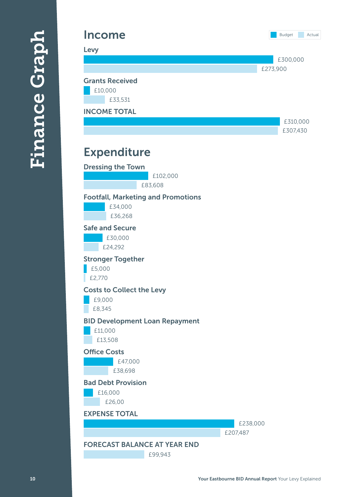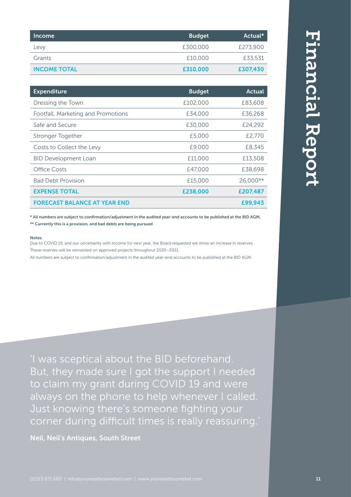| Income              | <b>Budget</b> | Actual*  |
|---------------------|---------------|----------|
| Levy                | £300,000      | £273,900 |
| Grants              | £10,000       | £33,531  |
| <b>INCOME TOTAL</b> | £310,000      | £307,430 |

| <b>Expenditure</b>                  | <b>Budget</b> | Actual   |
|-------------------------------------|---------------|----------|
| Dressing the Town                   | £102,000      | £83,608  |
| Footfall, Marketing and Promotions  | £34,000       | £36,268  |
| Safe and Secure                     | £30,000       | £24,292  |
| Stronger Together                   | £5,000        | £2,770   |
| Costs to Collect the Levy           | £9,000        | £8,345   |
| <b>BID Development Loan</b>         | £11,000       | £13,508  |
| Office Costs                        | £47,000       | £38,698  |
| <b>Bad Debt Provision</b>           | £15,000       | 26.000** |
| <b>EXPENSE TOTAL</b>                | £238,000      | £207,487 |
| <b>FORECAST BALANCE AT YEAR END</b> |               | £99,943  |

\* All numbers are subject to confirmation/adjustment in the audited year-end accounts to be published at the BID AGM. \*\* Currently this is a provision, and bad debts are being pursued

## Notes:

Due to COVID 19, and our uncertainty with income for next year, the Board requested we show an increase in reserves. These reserves will be reinvested on approved projects throughout 2020–2021.

All numbers are subject to confirmation/adjustment in the audited year-end accounts to be published at the BID AGM.

'I was sceptical about the BID beforehand. But, they made sure I got the support I needed to claim my grant during COVID 19 and were always on the phone to help whenever I called. Just knowing there's someone fighting your corner during difficult times is really reassuring.'

Neil, Neil's Antiques, South Street